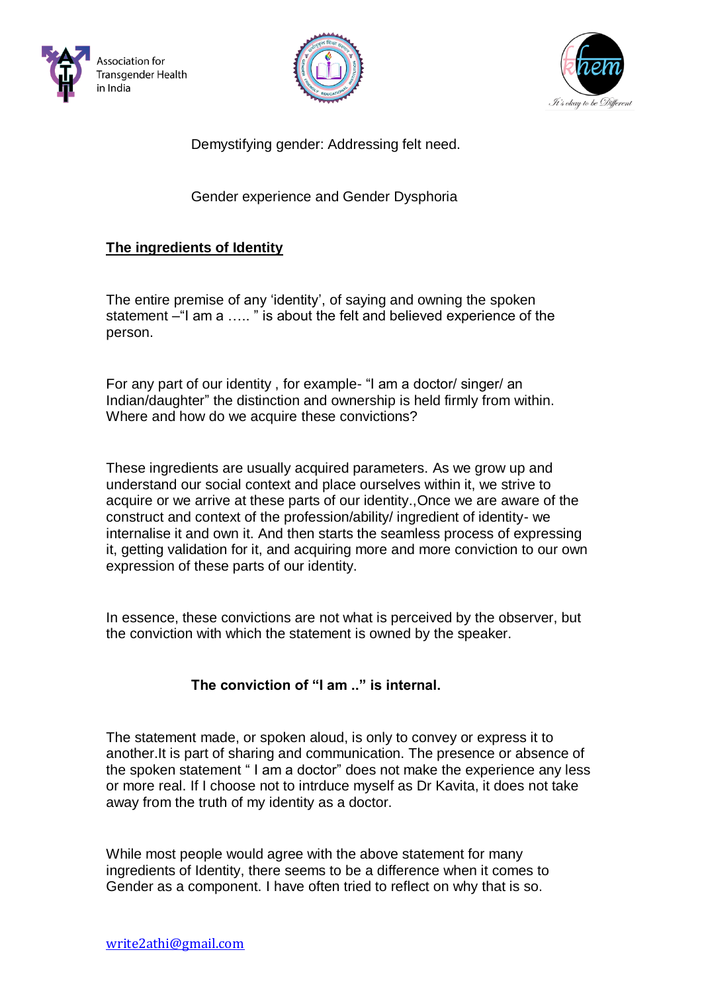





Demystifying gender: Addressing felt need.

Gender experience and Gender Dysphoria

# **The ingredients of Identity**

The entire premise of any 'identity', of saying and owning the spoken statement –"I am a ….. " is about the felt and believed experience of the person.

For any part of our identity , for example- "I am a doctor/ singer/ an Indian/daughter" the distinction and ownership is held firmly from within. Where and how do we acquire these convictions?

These ingredients are usually acquired parameters. As we grow up and understand our social context and place ourselves within it, we strive to acquire or we arrive at these parts of our identity.,Once we are aware of the construct and context of the profession/ability/ ingredient of identity- we internalise it and own it. And then starts the seamless process of expressing it, getting validation for it, and acquiring more and more conviction to our own expression of these parts of our identity.

In essence, these convictions are not what is perceived by the observer, but the conviction with which the statement is owned by the speaker.

## **The conviction of "I am .." is internal.**

The statement made, or spoken aloud, is only to convey or express it to another.It is part of sharing and communication. The presence or absence of the spoken statement " I am a doctor" does not make the experience any less or more real. If I choose not to intrduce myself as Dr Kavita, it does not take away from the truth of my identity as a doctor.

While most people would agree with the above statement for many ingredients of Identity, there seems to be a difference when it comes to Gender as a component. I have often tried to reflect on why that is so.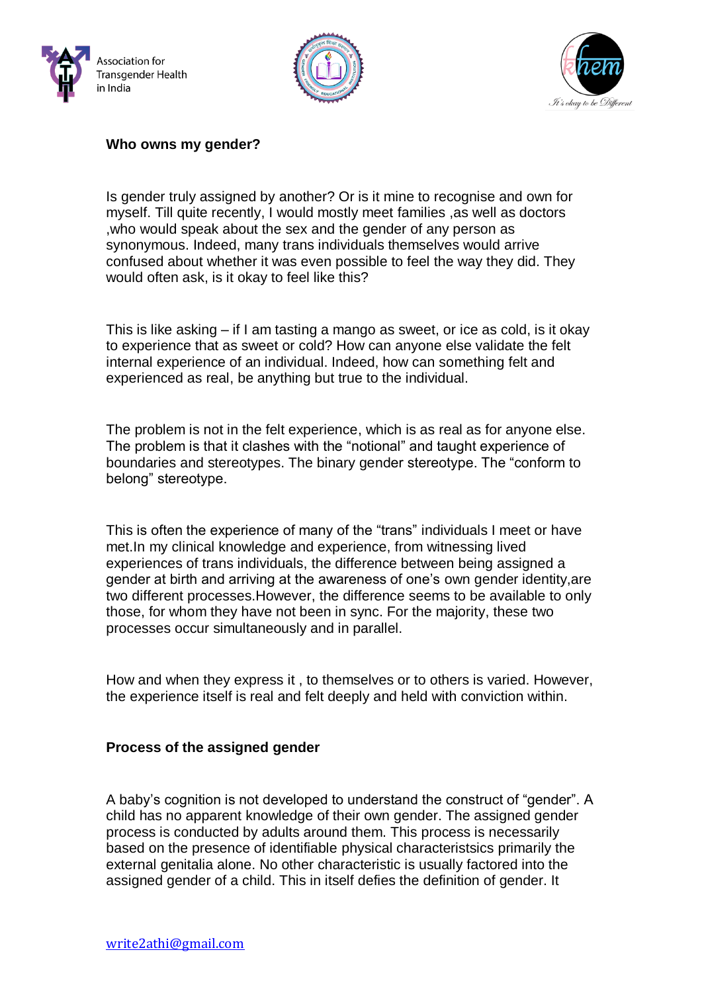





### **Who owns my gender?**

Is gender truly assigned by another? Or is it mine to recognise and own for myself. Till quite recently, I would mostly meet families ,as well as doctors ,who would speak about the sex and the gender of any person as synonymous. Indeed, many trans individuals themselves would arrive confused about whether it was even possible to feel the way they did. They would often ask, is it okay to feel like this?

This is like asking – if I am tasting a mango as sweet, or ice as cold, is it okay to experience that as sweet or cold? How can anyone else validate the felt internal experience of an individual. Indeed, how can something felt and experienced as real, be anything but true to the individual.

The problem is not in the felt experience, which is as real as for anyone else. The problem is that it clashes with the "notional" and taught experience of boundaries and stereotypes. The binary gender stereotype. The "conform to belong" stereotype.

This is often the experience of many of the "trans" individuals I meet or have met.In my clinical knowledge and experience, from witnessing lived experiences of trans individuals, the difference between being assigned a gender at birth and arriving at the awareness of one's own gender identity,are two different processes.However, the difference seems to be available to only those, for whom they have not been in sync. For the majority, these two processes occur simultaneously and in parallel.

How and when they express it , to themselves or to others is varied. However, the experience itself is real and felt deeply and held with conviction within.

#### **Process of the assigned gender**

A baby's cognition is not developed to understand the construct of "gender". A child has no apparent knowledge of their own gender. The assigned gender process is conducted by adults around them. This process is necessarily based on the presence of identifiable physical characteristsics primarily the external genitalia alone. No other characteristic is usually factored into the assigned gender of a child. This in itself defies the definition of gender. It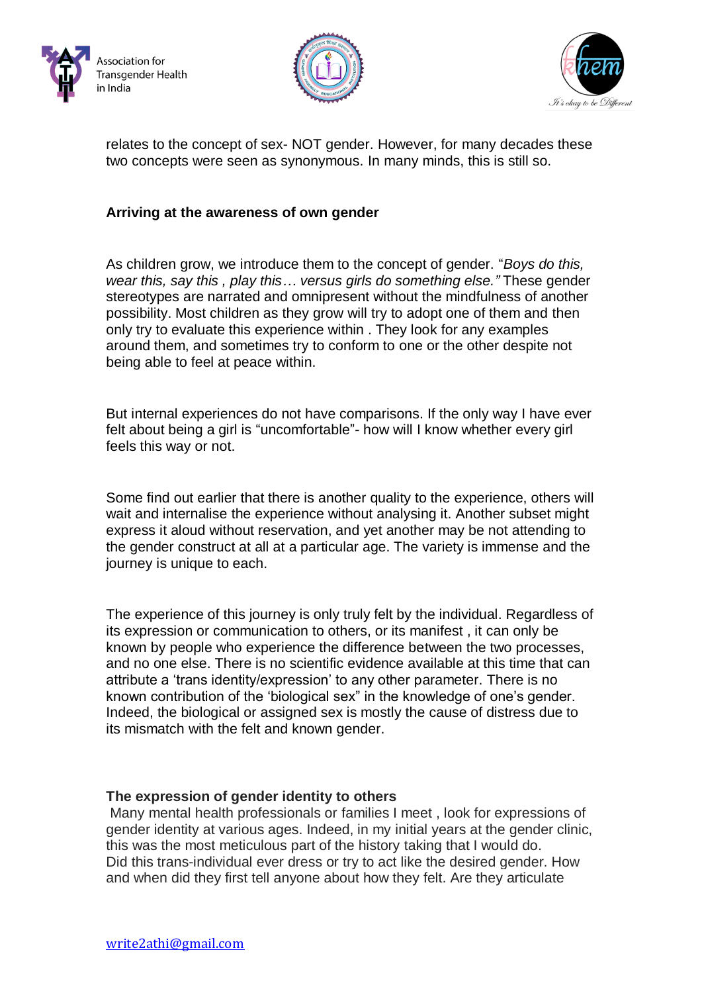





relates to the concept of sex- NOT gender. However, for many decades these two concepts were seen as synonymous. In many minds, this is still so.

### **Arriving at the awareness of own gender**

As children grow, we introduce them to the concept of gender. "*Boys do this, wear this, say this , play this… versus girls do something else."* These gender stereotypes are narrated and omnipresent without the mindfulness of another possibility. Most children as they grow will try to adopt one of them and then only try to evaluate this experience within . They look for any examples around them, and sometimes try to conform to one or the other despite not being able to feel at peace within.

But internal experiences do not have comparisons. If the only way I have ever felt about being a girl is "uncomfortable"- how will I know whether every girl feels this way or not.

Some find out earlier that there is another quality to the experience, others will wait and internalise the experience without analysing it. Another subset might express it aloud without reservation, and yet another may be not attending to the gender construct at all at a particular age. The variety is immense and the journey is unique to each.

The experience of this journey is only truly felt by the individual. Regardless of its expression or communication to others, or its manifest , it can only be known by people who experience the difference between the two processes, and no one else. There is no scientific evidence available at this time that can attribute a 'trans identity/expression' to any other parameter. There is no known contribution of the 'biological sex" in the knowledge of one's gender. Indeed, the biological or assigned sex is mostly the cause of distress due to its mismatch with the felt and known gender.

#### **The expression of gender identity to others**

Many mental health professionals or families I meet , look for expressions of gender identity at various ages. Indeed, in my initial years at the gender clinic, this was the most meticulous part of the history taking that I would do. Did this trans-individual ever dress or try to act like the desired gender. How and when did they first tell anyone about how they felt. Are they articulate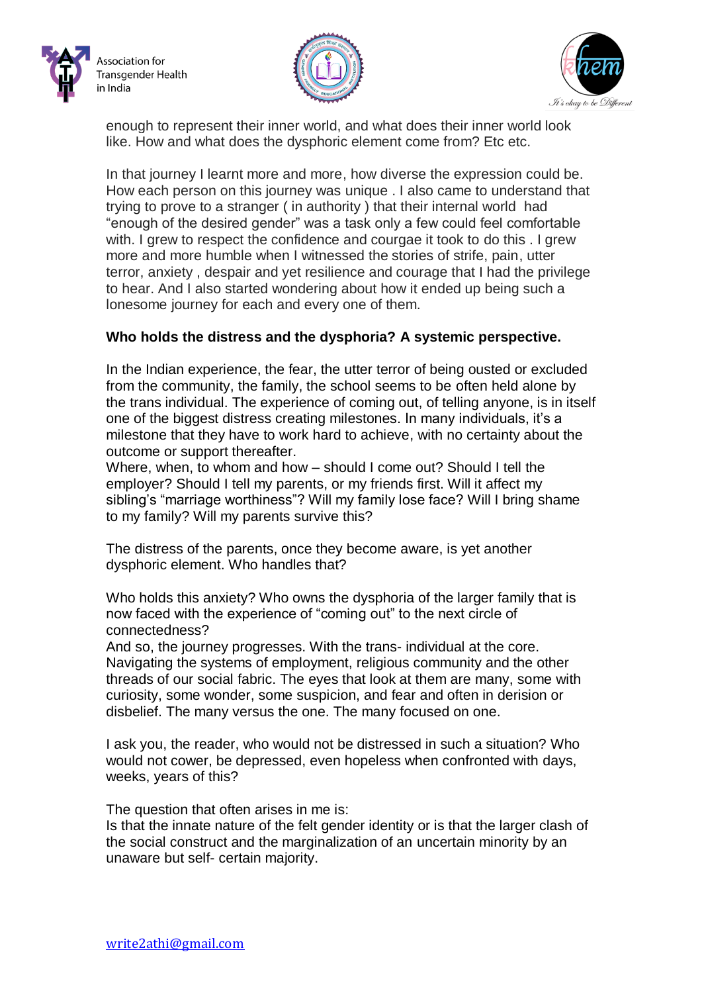





enough to represent their inner world, and what does their inner world look like. How and what does the dysphoric element come from? Etc etc.

In that journey I learnt more and more, how diverse the expression could be. How each person on this journey was unique . I also came to understand that trying to prove to a stranger ( in authority ) that their internal world had "enough of the desired gender" was a task only a few could feel comfortable with. I grew to respect the confidence and courgae it took to do this . I grew more and more humble when I witnessed the stories of strife, pain, utter terror, anxiety , despair and yet resilience and courage that I had the privilege to hear. And I also started wondering about how it ended up being such a lonesome journey for each and every one of them.

### **Who holds the distress and the dysphoria? A systemic perspective.**

In the Indian experience, the fear, the utter terror of being ousted or excluded from the community, the family, the school seems to be often held alone by the trans individual. The experience of coming out, of telling anyone, is in itself one of the biggest distress creating milestones. In many individuals, it's a milestone that they have to work hard to achieve, with no certainty about the outcome or support thereafter.

Where, when, to whom and how – should I come out? Should I tell the employer? Should I tell my parents, or my friends first. Will it affect my sibling's "marriage worthiness"? Will my family lose face? Will I bring shame to my family? Will my parents survive this?

The distress of the parents, once they become aware, is yet another dysphoric element. Who handles that?

Who holds this anxiety? Who owns the dysphoria of the larger family that is now faced with the experience of "coming out" to the next circle of connectedness?

And so, the journey progresses. With the trans- individual at the core. Navigating the systems of employment, religious community and the other threads of our social fabric. The eyes that look at them are many, some with curiosity, some wonder, some suspicion, and fear and often in derision or disbelief. The many versus the one. The many focused on one.

I ask you, the reader, who would not be distressed in such a situation? Who would not cower, be depressed, even hopeless when confronted with days, weeks, years of this?

The question that often arises in me is:

Is that the innate nature of the felt gender identity or is that the larger clash of the social construct and the marginalization of an uncertain minority by an unaware but self- certain majority.